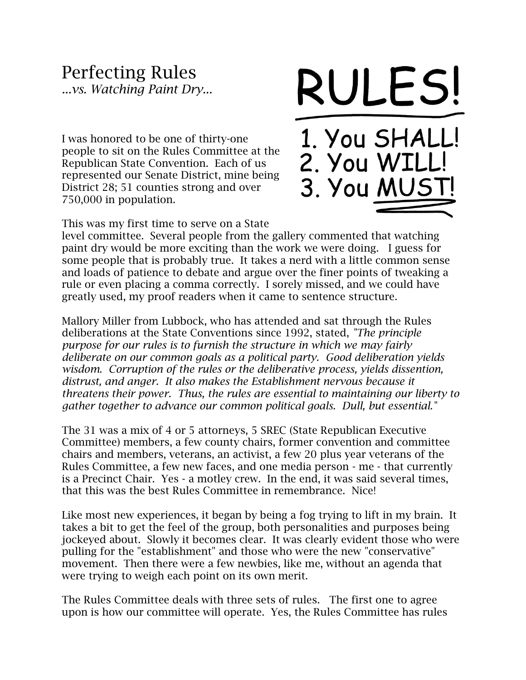## Perfecting Rules

*...vs. Watching Paint Dry...*

I was honored to be one of thirty-one people to sit on the Rules Committee at the Republican State Convention. Each of us represented our Senate District, mine being District 28; 51 counties strong and over 750,000 in population.



3. You MUS

This was my first time to serve on a State

level committee. Several people from the gallery commented that watching paint dry would be more exciting than the work we were doing. I guess for some people that is probably true. It takes a nerd with a little common sense and loads of patience to debate and argue over the finer points of tweaking a rule or even placing a comma correctly. I sorely missed, and we could have greatly used, my proof readers when it came to sentence structure.

Mallory Miller from Lubbock, who has attended and sat through the Rules deliberations at the State Conventions since 1992, stated, *"The principle purpose for our rules is to furnish the structure in which we may fairly deliberate on our common goals as a political party. Good deliberation yields wisdom. Corruption of the rules or the deliberative process, yields dissention, distrust, and anger. It also makes the Establishment nervous because it threatens their power. Thus, the rules are essential to maintaining our liberty to gather together to advance our common political goals. Dull, but essential."*

The 31 was a mix of 4 or 5 attorneys, 5 SREC (State Republican Executive Committee) members, a few county chairs, former convention and committee chairs and members, veterans, an activist, a few 20 plus year veterans of the Rules Committee, a few new faces, and one media person - me - that currently is a Precinct Chair. Yes - a motley crew. In the end, it was said several times, that this was the best Rules Committee in remembrance. Nice!

Like most new experiences, it began by being a fog trying to lift in my brain. It takes a bit to get the feel of the group, both personalities and purposes being jockeyed about. Slowly it becomes clear. It was clearly evident those who were pulling for the "establishment" and those who were the new "conservative" movement. Then there were a few newbies, like me, without an agenda that were trying to weigh each point on its own merit.

The Rules Committee deals with three sets of rules. The first one to agree upon is how our committee will operate. Yes, the Rules Committee has rules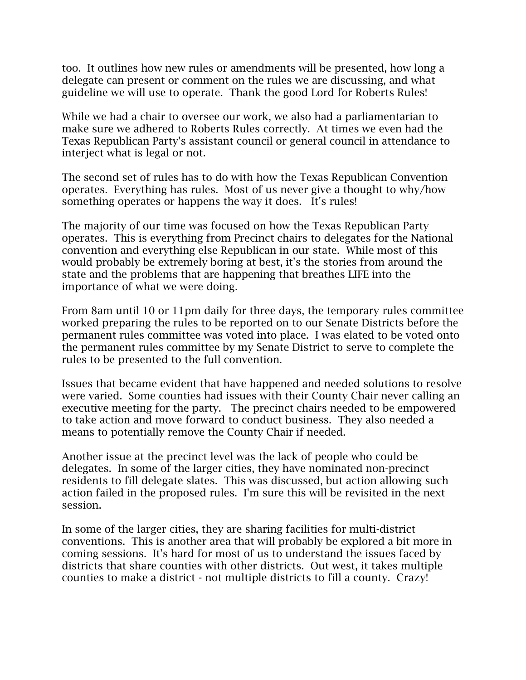too. It outlines how new rules or amendments will be presented, how long a delegate can present or comment on the rules we are discussing, and what guideline we will use to operate. Thank the good Lord for Roberts Rules!

While we had a chair to oversee our work, we also had a parliamentarian to make sure we adhered to Roberts Rules correctly. At times we even had the Texas Republican Party's assistant council or general council in attendance to interject what is legal or not.

The second set of rules has to do with how the Texas Republican Convention operates. Everything has rules. Most of us never give a thought to why/how something operates or happens the way it does. It's rules!

The majority of our time was focused on how the Texas Republican Party operates. This is everything from Precinct chairs to delegates for the National convention and everything else Republican in our state. While most of this would probably be extremely boring at best, it's the stories from around the state and the problems that are happening that breathes LIFE into the importance of what we were doing.

[From 8am until 10](x-apple-data-detectors://embedded-result/2939) or [11pm](x-apple-data-detectors://embedded-result/2960) daily for three days, the temporary rules committee worked preparing the rules to be reported on to our Senate Districts before the permanent rules committee was voted into place. I was elated to be voted onto the permanent rules committee by my Senate District to serve to complete the rules to be presented to the full convention.

Issues that became evident that have happened and needed solutions to resolve were varied. Some counties had issues with their County Chair never calling an executive meeting for the party. The precinct chairs needed to be empowered to take action and move forward to conduct business. They also needed a means to potentially remove the County Chair if needed.

Another issue at the precinct level was the lack of people who could be delegates. In some of the larger cities, they have nominated non-precinct residents to fill delegate slates. This was discussed, but action allowing such action failed in the proposed rules. I'm sure this will be revisited in the next session.

In some of the larger cities, they are sharing facilities for multi-district conventions. This is another area that will probably be explored a bit more in coming sessions. It's hard for most of us to understand the issues faced by districts that share counties with other districts. Out west, it takes multiple counties to make a district - not multiple districts to fill a county. Crazy!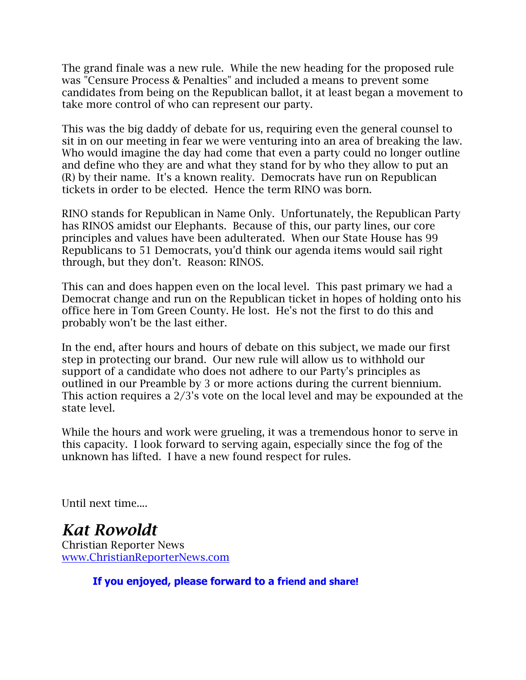The grand finale was a new rule. While the new heading for the proposed rule was "Censure Process & Penalties" and included a means to prevent some candidates from being on the Republican ballot, it at least began a movement to take more control of who can represent our party.

This was the big daddy of debate for us, requiring even the general counsel to sit in on our meeting in fear we were venturing into an area of breaking the law. Who would imagine the day had come that even a party could no longer outline and define who they are and what they stand for by who they allow to put an (R) by their name. It's a known reality. Democrats have run on Republican tickets in order to be elected. Hence the term RINO was born.

RINO stands for Republican in Name Only. Unfortunately, the Republican Party has RINOS amidst our Elephants. Because of this, our party lines, our core principles and values have been adulterated. When our State House has 99 Republicans to 51 Democrats, you'd think our agenda items would sail right through, but they don't. Reason: RINOS.

This can and does happen even on the local level. This past primary we had a Democrat change and run on the Republican ticket in hopes of holding onto his office here in Tom Green County. He lost. He's not the first to do this and probably won't be the last either.

In the end, after hours and hours of debate on this subject, we made our first step in protecting our brand. Our new rule will allow us to withhold our support of a candidate who does not adhere to our Party's principles as outlined in our Preamble by 3 or more actions during the current biennium. This action requires a 2/3's vote on the local level and may be expounded at the state level.

While the hours and work were grueling, it was a tremendous honor to serve in this capacity. I look forward to serving again, especially since the fog of the unknown has lifted. I have a new found respect for rules.

Until next time....

*Kat Rowoldt* Christian Reporter News www.ChristianReporterNews.com

**If you enjoyed, please forward to a friend and share!**